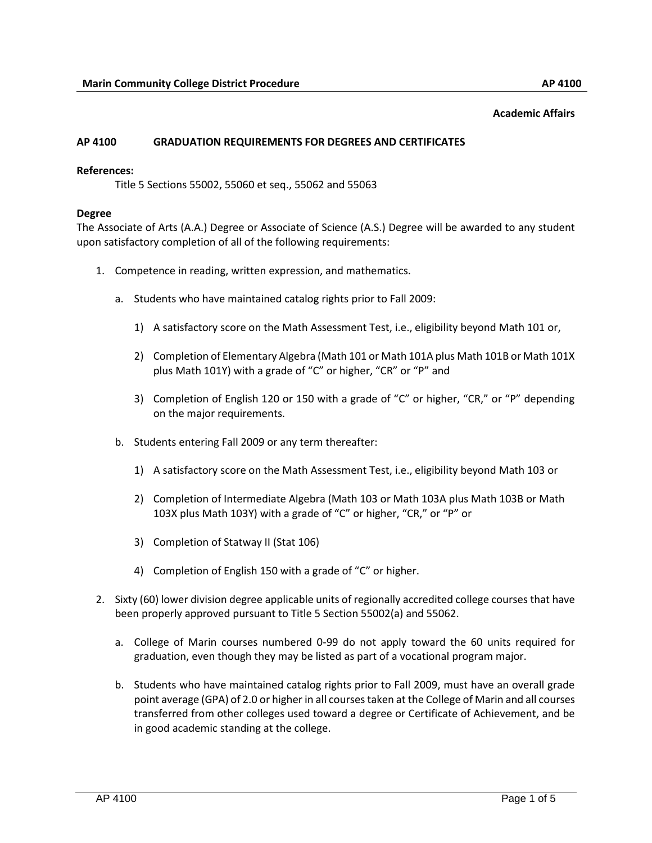#### **Academic Affairs**

#### **AP 4100 GRADUATION REQUIREMENTS FOR DEGREES AND CERTIFICATES**

#### **References:**

Title 5 Sections 55002, 55060 et seq., 55062 and 55063

#### **Degree**

The Associate of Arts (A.A.) Degree or Associate of Science (A.S.) Degree will be awarded to any student upon satisfactory completion of all of the following requirements:

- 1. Competence in reading, written expression, and mathematics.
	- a. Students who have maintained catalog rights prior to Fall 2009:
		- 1) A satisfactory score on the Math Assessment Test, i.e., eligibility beyond Math 101 or,
		- 2) Completion of Elementary Algebra (Math 101 or Math 101A plus Math 101B or Math 101X plus Math 101Y) with a grade of "C" or higher, "CR" or "P" and
		- 3) Completion of English 120 or 150 with a grade of "C" or higher, "CR," or "P" depending on the major requirements.
	- b. Students entering Fall 2009 or any term thereafter:
		- 1) A satisfactory score on the Math Assessment Test, i.e., eligibility beyond Math 103 or
		- 2) Completion of Intermediate Algebra (Math 103 or Math 103A plus Math 103B or Math 103X plus Math 103Y) with a grade of "C" or higher, "CR," or "P" or
		- 3) Completion of Statway II (Stat 106)
		- 4) Completion of English 150 with a grade of "C" or higher.
- 2. Sixty (60) lower division degree applicable units of regionally accredited college courses that have been properly approved pursuant to Title 5 Section 55002(a) and 55062.
	- a. College of Marin courses numbered 0-99 do not apply toward the 60 units required for graduation, even though they may be listed as part of a vocational program major.
	- b. Students who have maintained catalog rights prior to Fall 2009, must have an overall grade point average (GPA) of 2.0 or higher in all courses taken at the College of Marin and all courses transferred from other colleges used toward a degree or Certificate of Achievement, and be in good academic standing at the college.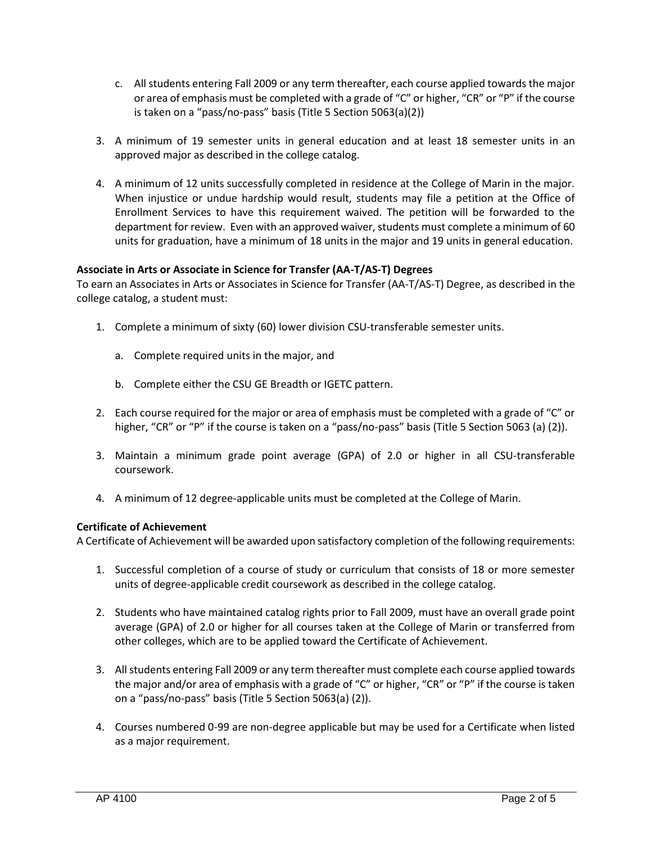- c. All students entering Fall 2009 or any term thereafter, each course applied towards the major or area of emphasis must be completed with a grade of "C" or higher, "CR" or "P" if the course is taken on a "pass/no-pass" basis (Title 5 Section 5063(a)(2))
- 3. A minimum of 19 semester units in general education and at least 18 semester units in an approved major as described in the college catalog.
- 4. A minimum of 12 units successfully completed in residence at the College of Marin in the major. When injustice or undue hardship would result, students may file a petition at the Office of Enrollment Services to have this requirement waived. The petition will be forwarded to the department for review. Even with an approved waiver, students must complete a minimum of 60 units for graduation, have a minimum of 18 units in the major and 19 units in general education.

# **Associate in Arts or Associate in Science for Transfer (AA-T/AS-T) Degrees**

To earn an Associates in Arts or Associates in Science for Transfer (AA-T/AS-T) Degree, as described in the college catalog, a student must:

- 1. Complete a minimum of sixty (60) lower division CSU-transferable semester units.
	- a. Complete required units in the major, and
	- b. Complete either the CSU GE Breadth or IGETC pattern.
- 2. Each course required for the major or area of emphasis must be completed with a grade of "C" or higher, "CR" or "P" if the course is taken on a "pass/no-pass" basis (Title 5 Section 5063 (a) (2)).
- 3. Maintain a minimum grade point average (GPA) of 2.0 or higher in all CSU-transferable coursework.
- 4. A minimum of 12 degree-applicable units must be completed at the College of Marin.

## **Certificate of Achievement**

A Certificate of Achievement will be awarded upon satisfactory completion of the following requirements:

- 1. Successful completion of a course of study or curriculum that consists of 18 or more semester units of degree-applicable credit coursework as described in the college catalog.
- 2. Students who have maintained catalog rights prior to Fall 2009, must have an overall grade point average (GPA) of 2.0 or higher for all courses taken at the College of Marin or transferred from other colleges, which are to be applied toward the Certificate of Achievement.
- 3. All students entering Fall 2009 or any term thereafter must complete each course applied towards the major and/or area of emphasis with a grade of "C" or higher, "CR" or "P" if the course is taken on a "pass/no-pass" basis (Title 5 Section 5063(a) (2)).
- 4. Courses numbered 0-99 are non-degree applicable but may be used for a Certificate when listed as a major requirement.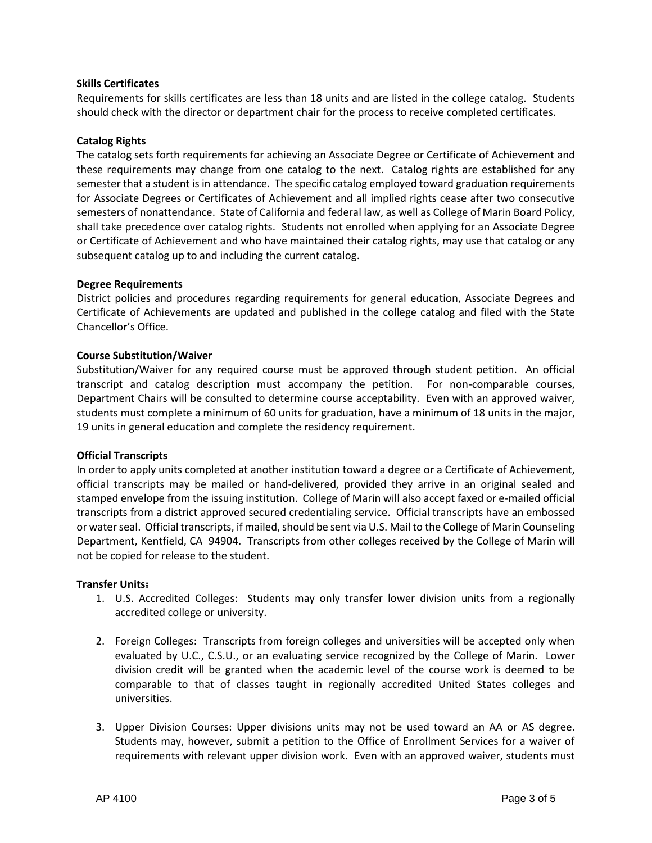## **Skills Certificates**

Requirements for skills certificates are less than 18 units and are listed in the college catalog. Students should check with the director or department chair for the process to receive completed certificates.

## **Catalog Rights**

The catalog sets forth requirements for achieving an Associate Degree or Certificate of Achievement and these requirements may change from one catalog to the next. Catalog rights are established for any semester that a student is in attendance. The specific catalog employed toward graduation requirements for Associate Degrees or Certificates of Achievement and all implied rights cease after two consecutive semesters of nonattendance. State of California and federal law, as well as College of Marin Board Policy, shall take precedence over catalog rights. Students not enrolled when applying for an Associate Degree or Certificate of Achievement and who have maintained their catalog rights, may use that catalog or any subsequent catalog up to and including the current catalog.

### **Degree Requirements**

District policies and procedures regarding requirements for general education, Associate Degrees and Certificate of Achievements are updated and published in the college catalog and filed with the State Chancellor's Office.

### **Course Substitution/Waiver**

Substitution/Waiver for any required course must be approved through student petition. An official transcript and catalog description must accompany the petition. For non-comparable courses, Department Chairs will be consulted to determine course acceptability. Even with an approved waiver, students must complete a minimum of 60 units for graduation, have a minimum of 18 units in the major, 19 units in general education and complete the residency requirement.

### **Official Transcripts**

In order to apply units completed at another institution toward a degree or a Certificate of Achievement, official transcripts may be mailed or hand-delivered, provided they arrive in an original sealed and stamped envelope from the issuing institution. College of Marin will also accept faxed or e-mailed official transcripts from a district approved secured credentialing service. Official transcripts have an embossed or water seal. Official transcripts, if mailed, should be sent via U.S. Mail to the College of Marin Counseling Department, Kentfield, CA 94904. Transcripts from other colleges received by the College of Marin will not be copied for release to the student.

### **Transfer Units:**

- 1. U.S. Accredited Colleges: Students may only transfer lower division units from a regionally accredited college or university.
- 2. Foreign Colleges: Transcripts from foreign colleges and universities will be accepted only when evaluated by U.C., C.S.U., or an evaluating service recognized by the College of Marin. Lower division credit will be granted when the academic level of the course work is deemed to be comparable to that of classes taught in regionally accredited United States colleges and universities.
- 3. Upper Division Courses: Upper divisions units may not be used toward an AA or AS degree. Students may, however, submit a petition to the Office of Enrollment Services for a waiver of requirements with relevant upper division work. Even with an approved waiver, students must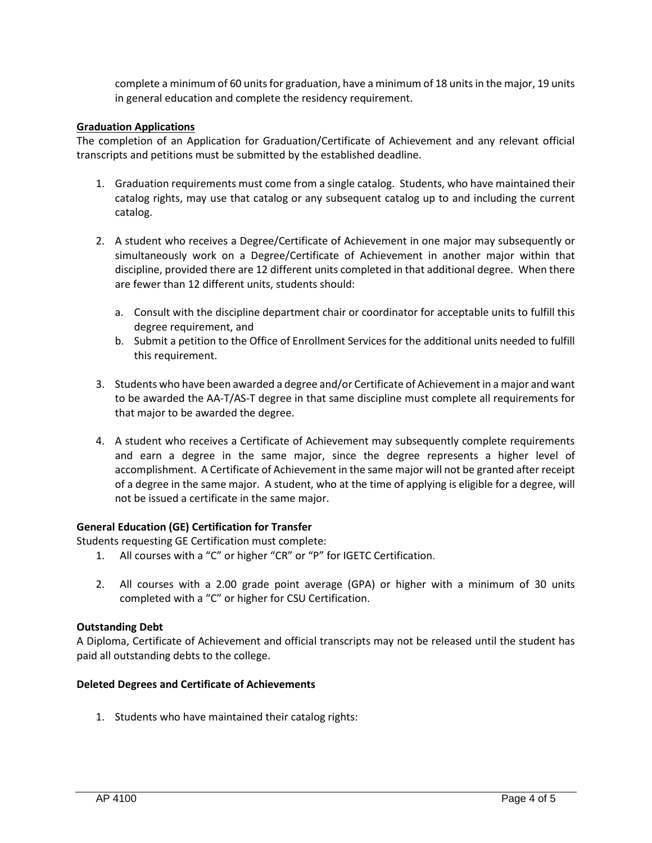complete a minimum of 60 units for graduation, have a minimum of 18 units in the major, 19 units in general education and complete the residency requirement.

### **Graduation Applications**

The completion of an Application for Graduation/Certificate of Achievement and any relevant official transcripts and petitions must be submitted by the established deadline.

- 1. Graduation requirements must come from a single catalog. Students, who have maintained their catalog rights, may use that catalog or any subsequent catalog up to and including the current catalog.
- 2. A student who receives a Degree/Certificate of Achievement in one major may subsequently or simultaneously work on a Degree/Certificate of Achievement in another major within that discipline, provided there are 12 different units completed in that additional degree. When there are fewer than 12 different units, students should:
	- a. Consult with the discipline department chair or coordinator for acceptable units to fulfill this degree requirement, and
	- b. Submit a petition to the Office of Enrollment Services for the additional units needed to fulfill this requirement.
- 3. Students who have been awarded a degree and/or Certificate of Achievement in a major and want to be awarded the AA-T/AS-T degree in that same discipline must complete all requirements for that major to be awarded the degree.
- 4. A student who receives a Certificate of Achievement may subsequently complete requirements and earn a degree in the same major, since the degree represents a higher level of accomplishment. A Certificate of Achievement in the same major will not be granted after receipt of a degree in the same major. A student, who at the time of applying is eligible for a degree, will not be issued a certificate in the same major.

### **General Education (GE) Certification for Transfer**

Students requesting GE Certification must complete:

- 1. All courses with a "C" or higher "CR" or "P" for IGETC Certification.
- 2. All courses with a 2.00 grade point average (GPA) or higher with a minimum of 30 units completed with a "C" or higher for CSU Certification.

### **Outstanding Debt**

A Diploma, Certificate of Achievement and official transcripts may not be released until the student has paid all outstanding debts to the college.

### **Deleted Degrees and Certificate of Achievements**

1. Students who have maintained their catalog rights: